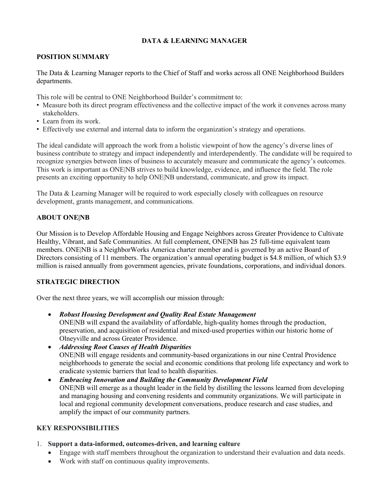# **DATA & LEARNING MANAGER**

#### **POSITION SUMMARY**

The Data & Learning Manager reports to the Chief of Staff and works across all ONE Neighborhood Builders departments.

This role will be central to ONE Neighborhood Builder's commitment to:

- Measure both its direct program effectiveness and the collective impact of the work it convenes across many stakeholders.
- Learn from its work.
- Effectively use external and internal data to inform the organization's strategy and operations.

The ideal candidate will approach the work from a holistic viewpoint of how the agency's diverse lines of business contribute to strategy and impact independently and interdependently. The candidate will be required to recognize synergies between lines of business to accurately measure and communicate the agency's outcomes. This work is important as ONE|NB strives to build knowledge, evidence, and influence the field. The role presents an exciting opportunity to help ONE|NB understand, communicate, and grow its impact.

The Data & Learning Manager will be required to work especially closely with colleagues on resource development, grants management, and communications.

## **ABOUT ONE|NB**

Our Mission is to Develop Affordable Housing and Engage Neighbors across Greater Providence to Cultivate Healthy, Vibrant, and Safe Communities. At full complement, ONE|NB has 25 full-time equivalent team members. ONE|NB is a NeighborWorks America charter member and is governed by an active Board of Directors consisting of 11 members. The organization's annual operating budget is \$4.8 million, of which \$3.9 million is raised annually from government agencies, private foundations, corporations, and individual donors.

## **STRATEGIC DIRECTION**

Over the next three years, we will accomplish our mission through:

- *Robust Housing Development and Quality Real Estate Management* ONE|NB will expand the availability of affordable, high-quality homes through the production, preservation, and acquisition of residential and mixed-used properties within our historic home of Olneyville and across Greater Providence.
- *Addressing Root Causes of Health Disparities* ONE|NB will engage residents and community-based organizations in our nine Central Providence neighborhoods to generate the social and economic conditions that prolong life expectancy and work to eradicate systemic barriers that lead to health disparities.
- *Embracing Innovation and Building the Community Development Field* ONE|NB will emerge as a thought leader in the field by distilling the lessons learned from developing and managing housing and convening residents and community organizations. We will participate in local and regional community development conversations, produce research and case studies, and amplify the impact of our community partners.

## **KEY RESPONSIBILITIES**

- 1. **Support a data-informed, outcomes-driven, and learning culture**
	- Engage with staff members throughout the organization to understand their evaluation and data needs.
	- Work with staff on continuous quality improvements.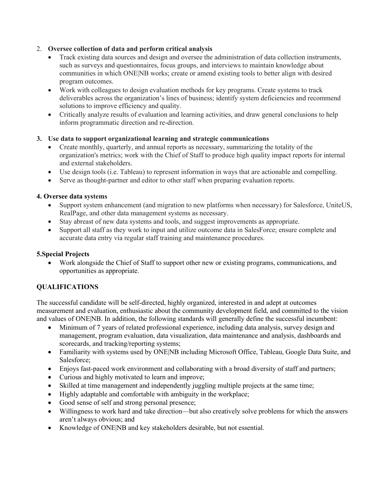# 2. **Oversee collection of data and perform critical analysis**

- Track existing data sources and design and oversee the administration of data collection instruments, such as surveys and questionnaires, focus groups, and interviews to maintain knowledge about communities in which ONE|NB works; create or amend existing tools to better align with desired program outcomes.
- Work with colleagues to design evaluation methods for key programs. Create systems to track deliverables across the organization's lines of business; identify system deficiencies and recommend solutions to improve efficiency and quality.
- Critically analyze results of evaluation and learning activities, and draw general conclusions to help inform programmatic direction and re-direction.

## **3. Use data to support organizational learning and strategic communications**

- Create monthly, quarterly, and annual reports as necessary, summarizing the totality of the organization's metrics; work with the Chief of Staff to produce high quality impact reports for internal and external stakeholders.
- Use design tools (i.e. Tableau) to represent information in ways that are actionable and compelling.
- Serve as thought-partner and editor to other staff when preparing evaluation reports.

#### **4. Oversee data systems**

- Support system enhancement (and migration to new platforms when necessary) for Salesforce, UniteUS, RealPage, and other data management systems as necessary.
- Stay abreast of new data systems and tools, and suggest improvements as appropriate.
- Support all staff as they work to input and utilize outcome data in SalesForce; ensure complete and accurate data entry via regular staff training and maintenance procedures.

#### **5.Special Projects**

• Work alongside the Chief of Staff to support other new or existing programs, communications, and opportunities as appropriate.

## **QUALIFICATIONS**

The successful candidate will be self-directed, highly organized, interested in and adept at outcomes measurement and evaluation, enthusiastic about the community development field, and committed to the vision and values of ONE|NB. In addition, the following standards will generally define the successful incumbent:

- Minimum of 7 years of related professional experience, including data analysis, survey design and management, program evaluation, data visualization, data maintenance and analysis, dashboards and scorecards, and tracking/reporting systems;
- Familiarity with systems used by ONE NB including Microsoft Office, Tableau, Google Data Suite, and Salesforce;
- Enjoys fast-paced work environment and collaborating with a broad diversity of staff and partners;
- Curious and highly motivated to learn and improve;
- Skilled at time management and independently juggling multiple projects at the same time;
- Highly adaptable and comfortable with ambiguity in the workplace;
- Good sense of self and strong personal presence;
- Willingness to work hard and take direction—but also creatively solve problems for which the answers aren't always obvious; and
- Knowledge of ONE|NB and key stakeholders desirable, but not essential.